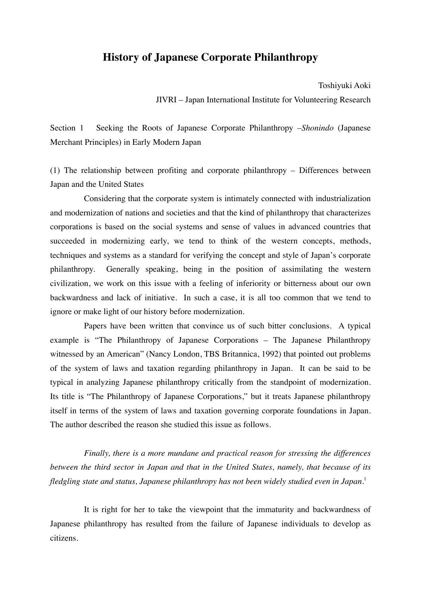# **History of Japanese Corporate Philanthropy**

Toshiyuki Aoki JIVRI – Japan International Institute for Volunteering Research

Section 1 Seeking the Roots of Japanese Corporate Philanthropy –*Shonindo* (Japanese Merchant Principles) in Early Modern Japan

(1) The relationship between profiting and corporate philanthropy – Differences between Japan and the United States

Considering that the corporate system is intimately connected with industrialization and modernization of nations and societies and that the kind of philanthropy that characterizes corporations is based on the social systems and sense of values in advanced countries that succeeded in modernizing early, we tend to think of the western concepts, methods, techniques and systems as a standard for verifying the concept and style of Japan's corporate philanthropy. Generally speaking, being in the position of assimilating the western civilization, we work on this issue with a feeling of inferiority or bitterness about our own backwardness and lack of initiative. In such a case, it is all too common that we tend to ignore or make light of our history before modernization.

Papers have been written that convince us of such bitter conclusions. A typical example is "The Philanthropy of Japanese Corporations – The Japanese Philanthropy witnessed by an American" (Nancy London, TBS Britannica, 1992) that pointed out problems of the system of laws and taxation regarding philanthropy in Japan. It can be said to be typical in analyzing Japanese philanthropy critically from the standpoint of modernization. Its title is "The Philanthropy of Japanese Corporations," but it treats Japanese philanthropy itself in terms of the system of laws and taxation governing corporate foundations in Japan. The author described the reason she studied this issue as follows.

*Finally, there is a more mundane and practical reason for stressing the differences between the third sector in Japan and that in the United States, namely, that because of its fledgling state and status, Japanese philanthropy has not been widely studied even in Japan.*<sup>1</sup>

It is right for her to take the viewpoint that the immaturity and backwardness of Japanese philanthropy has resulted from the failure of Japanese individuals to develop as citizens.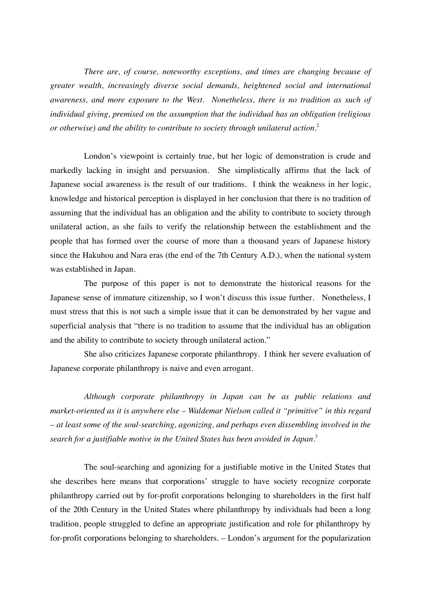*There are, of course, noteworthy exceptions, and times are changing because of greater wealth, increasingly diverse social demands, heightened social and international awareness, and more exposure to the West. Nonetheless, there is no tradition as such of individual giving, premised on the assumption that the individual has an obligation (religious or otherwise) and the ability to contribute to society through unilateral action.*<sup>2</sup>

London's viewpoint is certainly true, but her logic of demonstration is crude and markedly lacking in insight and persuasion. She simplistically affirms that the lack of Japanese social awareness is the result of our traditions. I think the weakness in her logic, knowledge and historical perception is displayed in her conclusion that there is no tradition of assuming that the individual has an obligation and the ability to contribute to society through unilateral action, as she fails to verify the relationship between the establishment and the people that has formed over the course of more than a thousand years of Japanese history since the Hakuhou and Nara eras (the end of the 7th Century A.D.), when the national system was established in Japan.

The purpose of this paper is not to demonstrate the historical reasons for the Japanese sense of immature citizenship, so I won't discuss this issue further. Nonetheless, I must stress that this is not such a simple issue that it can be demonstrated by her vague and superficial analysis that "there is no tradition to assume that the individual has an obligation and the ability to contribute to society through unilateral action."

She also criticizes Japanese corporate philanthropy. I think her severe evaluation of Japanese corporate philanthropy is naive and even arrogant.

*Although corporate philanthropy in Japan can be as public relations and market-oriented as it is anywhere else – Waldemar Nielson called it "primitive" in this regard – at least some of the soul-searching, agonizing, and perhaps even dissembling involved in the search for a justifiable motive in the United States has been avoided in Japan.*<sup>3</sup>

The soul-searching and agonizing for a justifiable motive in the United States that she describes here means that corporations' struggle to have society recognize corporate philanthropy carried out by for-profit corporations belonging to shareholders in the first half of the 20th Century in the United States where philanthropy by individuals had been a long tradition, people struggled to define an appropriate justification and role for philanthropy by for-profit corporations belonging to shareholders. – London's argument for the popularization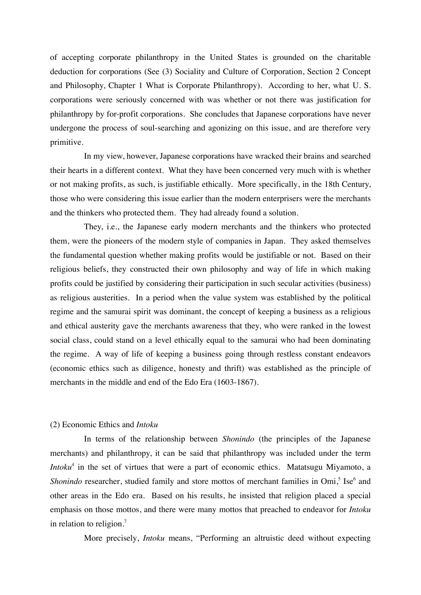of accepting corporate philanthropy in the United States is grounded on the charitable deduction for corporations (See (3) Sociality and Culture of Corporation, Section 2 Concept and Philosophy, Chapter 1 What is Corporate Philanthropy). According to her, what U. S. corporations were seriously concerned with was whether or not there was justification for philanthropy by for-profit corporations. She concludes that Japanese corporations have never undergone the process of soul-searching and agonizing on this issue, and are therefore very primitive.

In my view, however, Japanese corporations have wracked their brains and searched their hearts in a different context. What they have been concerned very much with is whether or not making profits, as such, is justifiable ethically. More specifically, in the 18th Century, those who were considering this issue earlier than the modern enterprisers were the merchants and the thinkers who protected them. They had already found a solution.

They, i.e., the Japanese early modern merchants and the thinkers who protected them, were the pioneers of the modern style of companies in Japan. They asked themselves the fundamental question whether making profits would be justifiable or not. Based on their religious beliefs, they constructed their own philosophy and way of life in which making profits could be justified by considering their participation in such secular activities (business) as religious austerities. In a period when the value system was established by the political regime and the samurai spirit was dominant, the concept of keeping a business as a religious and ethical austerity gave the merchants awareness that they, who were ranked in the lowest social class, could stand on a level ethically equal to the samurai who had been dominating the regime. A way of life of keeping a business going through restless constant endeavors (economic ethics such as diligence, honesty and thrift) was established as the principle of merchants in the middle and end of the Edo Era (1603-1867).

## (2) Economic Ethics and *Intoku*

In terms of the relationship between *Shonindo* (the principles of the Japanese merchants) and philanthropy, it can be said that philanthropy was included under the term *Intoku*<sup>4</sup> in the set of virtues that were a part of economic ethics. Matatsugu Miyamoto, a Shonindo researcher, studied family and store mottos of merchant families in Omi,<sup>5</sup> Ise<sup>6</sup> and other areas in the Edo era. Based on his results, he insisted that religion placed a special emphasis on those mottos, and there were many mottos that preached to endeavor for *Intoku* in relation to religion. $<sup>7</sup>$ </sup>

More precisely, *Intoku* means, "Performing an altruistic deed without expecting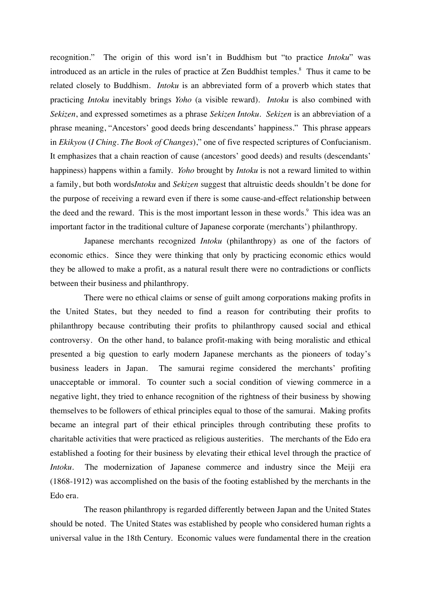recognition." The origin of this word isn't in Buddhism but "to practice *Intoku*" was introduced as an article in the rules of practice at Zen Buddhist temples. 8 Thus it came to be related closely to Buddhism. *Intoku* is an abbreviated form of a proverb which states that practicing *Intoku* inevitably brings *Yoho* (a visible reward). *Intoku* is also combined with *Sekizen*, and expressed sometimes as a phrase *Sekizen Intoku*. *Sekizen* is an abbreviation of a phrase meaning, "Ancestors' good deeds bring descendants' happiness." This phrase appears in *Ekikyou* (*I Ching. The Book of Changes*)," one of five respected scriptures of Confucianism. It emphasizes that a chain reaction of cause (ancestors' good deeds) and results (descendants' happiness) happens within a family. *Yoho* brought by *Intoku* is not a reward limited to within a family, but both words*Intoku* and *Sekizen* suggest that altruistic deeds shouldn't be done for the purpose of receiving a reward even if there is some cause-and-effect relationship between the deed and the reward. This is the most important lesson in these words.<sup>9</sup> This idea was an important factor in the traditional culture of Japanese corporate (merchants') philanthropy.

Japanese merchants recognized *Intoku* (philanthropy) as one of the factors of economic ethics. Since they were thinking that only by practicing economic ethics would they be allowed to make a profit, as a natural result there were no contradictions or conflicts between their business and philanthropy.

There were no ethical claims or sense of guilt among corporations making profits in the United States, but they needed to find a reason for contributing their profits to philanthropy because contributing their profits to philanthropy caused social and ethical controversy. On the other hand, to balance profit-making with being moralistic and ethical presented a big question to early modern Japanese merchants as the pioneers of today's business leaders in Japan. The samurai regime considered the merchants' profiting unacceptable or immoral. To counter such a social condition of viewing commerce in a negative light, they tried to enhance recognition of the rightness of their business by showing themselves to be followers of ethical principles equal to those of the samurai. Making profits became an integral part of their ethical principles through contributing these profits to charitable activities that were practiced as religious austerities. The merchants of the Edo era established a footing for their business by elevating their ethical level through the practice of *Intoku*. The modernization of Japanese commerce and industry since the Meiji era (1868-1912) was accomplished on the basis of the footing established by the merchants in the Edo era.

The reason philanthropy is regarded differently between Japan and the United States should be noted. The United States was established by people who considered human rights a universal value in the 18th Century. Economic values were fundamental there in the creation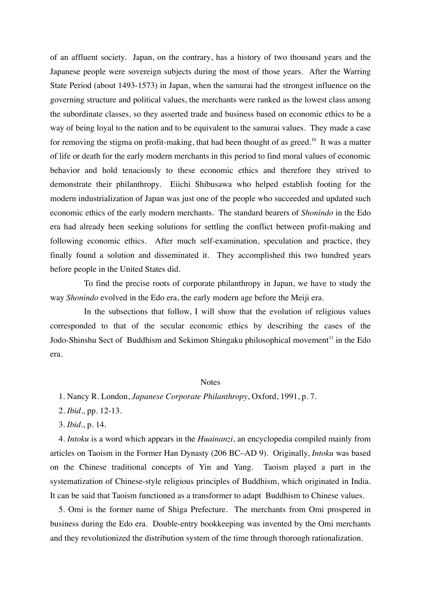of an affluent society. Japan, on the contrary, has a history of two thousand years and the Japanese people were sovereign subjects during the most of those years. After the Warring State Period (about 1493-1573) in Japan, when the samurai had the strongest influence on the governing structure and political values, the merchants were ranked as the lowest class among the subordinate classes, so they asserted trade and business based on economic ethics to be a way of being loyal to the nation and to be equivalent to the samurai values. They made a case for removing the stigma on profit-making, that had been thought of as greed.<sup>10</sup> It was a matter of life or death for the early modern merchants in this period to find moral values of economic behavior and hold tenaciously to these economic ethics and therefore they strived to demonstrate their philanthropy. Eiichi Shibusawa who helped establish footing for the modern industrialization of Japan was just one of the people who succeeded and updated such economic ethics of the early modern merchants. The standard bearers of *Shonindo* in the Edo era had already been seeking solutions for settling the conflict between profit-making and following economic ethics. After much self-examination, speculation and practice, they finally found a solution and disseminated it. They accomplished this two hundred years before people in the United States did.

To find the precise roots of corporate philanthropy in Japan, we have to study the way *Shonindo* evolved in the Edo era, the early modern age before the Meiji era.

In the subsections that follow, I will show that the evolution of religious values corresponded to that of the secular economic ethics by describing the cases of the Jodo-Shinshu Sect of Buddhism and Sekimon Shingaku philosophical movement<sup>11</sup> in the Edo era.

#### Notes

1. Nancy R. London, *Japanese Corporate Philanthropy*, Oxford, 1991, p. 7.

2. *Ibid*., pp. 12-13.

3. *Ibid*., p. 14.

 4. *Intoku* is a word which appears in the *Huainanzi*, an encyclopedia compiled mainly from articles on Taoism in the Former Han Dynasty (206 BC–AD 9). Originally, *Intoku* was based on the Chinese traditional concepts of Yin and Yang. Taoism played a part in the systematization of Chinese-style religious principles of Buddhism, which originated in India. It can be said that Taoism functioned as a transformer to adapt Buddhism to Chinese values.

 5. Omi is the former name of Shiga Prefecture. The merchants from Omi prospered in business during the Edo era. Double-entry bookkeeping was invented by the Omi merchants and they revolutionized the distribution system of the time through thorough rationalization.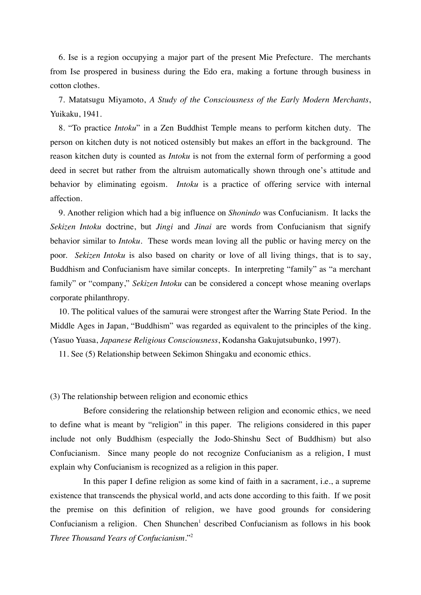6. Ise is a region occupying a major part of the present Mie Prefecture. The merchants from Ise prospered in business during the Edo era, making a fortune through business in cotton clothes.

 7. Matatsugu Miyamoto, *A Study of the Consciousness of the Early Modern Merchants*, Yuikaku, 1941.

 8. "To practice *Intoku*" in a Zen Buddhist Temple means to perform kitchen duty. The person on kitchen duty is not noticed ostensibly but makes an effort in the background. The reason kitchen duty is counted as *Intoku* is not from the external form of performing a good deed in secret but rather from the altruism automatically shown through one's attitude and behavior by eliminating egoism. *Intoku* is a practice of offering service with internal affection.

 9. Another religion which had a big influence on *Shonindo* was Confucianism. It lacks the *Sekizen Intoku* doctrine, but *Jingi* and *Jinai* are words from Confucianism that signify behavior similar to *Intoku*. These words mean loving all the public or having mercy on the poor. *Sekizen Intoku* is also based on charity or love of all living things, that is to say, Buddhism and Confucianism have similar concepts. In interpreting "family" as "a merchant family" or "company," *Sekizen Intoku* can be considered a concept whose meaning overlaps corporate philanthropy.

 10. The political values of the samurai were strongest after the Warring State Period. In the Middle Ages in Japan, "Buddhism" was regarded as equivalent to the principles of the king. (Yasuo Yuasa, *Japanese Religious Consciousness*, Kodansha Gakujutsubunko, 1997).

11. See (5) Relationship between Sekimon Shingaku and economic ethics.

(3) The relationship between religion and economic ethics

Before considering the relationship between religion and economic ethics, we need to define what is meant by "religion" in this paper. The religions considered in this paper include not only Buddhism (especially the Jodo-Shinshu Sect of Buddhism) but also Confucianism. Since many people do not recognize Confucianism as a religion, I must explain why Confucianism is recognized as a religion in this paper.

In this paper I define religion as some kind of faith in a sacrament, i.e., a supreme existence that transcends the physical world, and acts done according to this faith. If we posit the premise on this definition of religion, we have good grounds for considering Confucianism a religion. Chen Shunchen<sup>1</sup> described Confucianism as follows in his book *Three Thousand Years of Confucianism*."2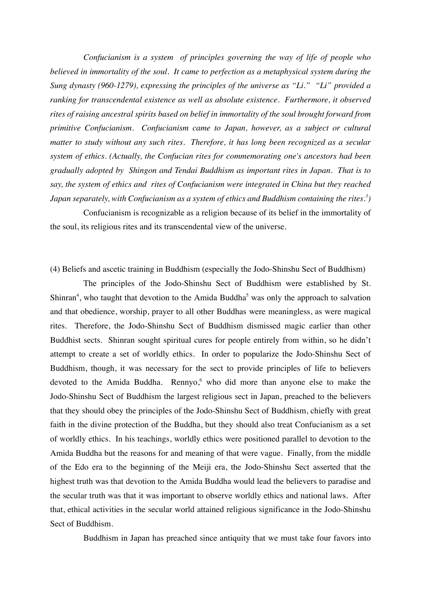*Confucianism is a system of principles governing the way of life of people who believed in immortality of the soul. It came to perfection as a metaphysical system during the Sung dynasty (960-1279), expressing the principles of the universe as "Li." "Li" provided a ranking for transcendental existence as well as absolute existence. Furthermore, it observed rites of raising ancestral spirits based on belief in immortality of the soul brought forward from primitive Confucianism. Confucianism came to Japan, however, as a subject or cultural matter to study without any such rites. Therefore, it has long been recognized as a secular system of ethics. (Actually, the Confucian rites for commemorating one's ancestors had been gradually adopted by Shingon and Tendai Buddhism as important rites in Japan. That is to say, the system of ethics and rites of Confucianism were integrated in China but they reached Japan separately, with Confucianism as a system of ethics and Buddhism containing the rites. 3 )*

Confucianism is recognizable as a religion because of its belief in the immortality of the soul, its religious rites and its transcendental view of the universe.

# (4) Beliefs and ascetic training in Buddhism (especially the Jodo-Shinshu Sect of Buddhism)

The principles of the Jodo-Shinshu Sect of Buddhism were established by St. Shinran<sup>4</sup>, who taught that devotion to the Amida Buddha<sup>5</sup> was only the approach to salvation and that obedience, worship, prayer to all other Buddhas were meaningless, as were magical rites. Therefore, the Jodo-Shinshu Sect of Buddhism dismissed magic earlier than other Buddhist sects. Shinran sought spiritual cures for people entirely from within, so he didn't attempt to create a set of worldly ethics. In order to popularize the Jodo-Shinshu Sect of Buddhism, though, it was necessary for the sect to provide principles of life to believers devoted to the Amida Buddha. Rennyo, <sup>6</sup> who did more than anyone else to make the Jodo-Shinshu Sect of Buddhism the largest religious sect in Japan, preached to the believers that they should obey the principles of the Jodo-Shinshu Sect of Buddhism, chiefly with great faith in the divine protection of the Buddha, but they should also treat Confucianism as a set of worldly ethics. In his teachings, worldly ethics were positioned parallel to devotion to the Amida Buddha but the reasons for and meaning of that were vague. Finally, from the middle of the Edo era to the beginning of the Meiji era, the Jodo-Shinshu Sect asserted that the highest truth was that devotion to the Amida Buddha would lead the believers to paradise and the secular truth was that it was important to observe worldly ethics and national laws. After that, ethical activities in the secular world attained religious significance in the Jodo-Shinshu Sect of Buddhism.

Buddhism in Japan has preached since antiquity that we must take four favors into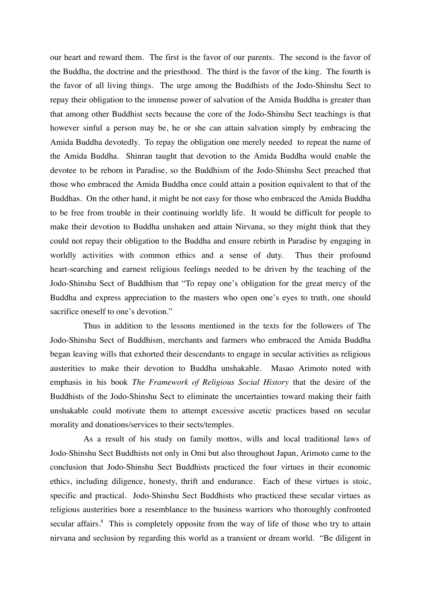our heart and reward them. The first is the favor of our parents. The second is the favor of the Buddha, the doctrine and the priesthood. The third is the favor of the king. The fourth is the favor of all living things. The urge among the Buddhists of the Jodo-Shinshu Sect to repay their obligation to the immense power of salvation of the Amida Buddha is greater than that among other Buddhist sects because the core of the Jodo-Shinshu Sect teachings is that however sinful a person may be, he or she can attain salvation simply by embracing the Amida Buddha devotedly. To repay the obligation one merely needed to repeat the name of the Amida Buddha. Shinran taught that devotion to the Amida Buddha would enable the devotee to be reborn in Paradise, so the Buddhism of the Jodo-Shinshu Sect preached that those who embraced the Amida Buddha once could attain a position equivalent to that of the Buddhas. On the other hand, it might be not easy for those who embraced the Amida Buddha to be free from trouble in their continuing worldly life. It would be difficult for people to make their devotion to Buddha unshaken and attain Nirvana, so they might think that they could not repay their obligation to the Buddha and ensure rebirth in Paradise by engaging in worldly activities with common ethics and a sense of duty. Thus their profound heart-searching and earnest religious feelings needed to be driven by the teaching of the Jodo-Shinshu Sect of Buddhism that "To repay one's obligation for the great mercy of the Buddha and express appreciation to the masters who open one's eyes to truth, one should sacrifice oneself to one's devotion."

Thus in addition to the lessons mentioned in the texts for the followers of The Jodo-Shinshu Sect of Buddhism, merchants and farmers who embraced the Amida Buddha began leaving wills that exhorted their descendants to engage in secular activities as religious austerities to make their devotion to Buddha unshakable. Masao Arimoto noted with emphasis in his book *The Framework of Religious Social History* that the desire of the Buddhists of the Jodo-Shinshu Sect to eliminate the uncertainties toward making their faith unshakable could motivate them to attempt excessive ascetic practices based on secular morality and donations/services to their sects/temples.

As a result of his study on family mottos, wills and local traditional laws of Jodo-Shinshu Sect Buddhists not only in Omi but also throughout Japan, Arimoto came to the conclusion that Jodo-Shinshu Sect Buddhists practiced the four virtues in their economic ethics, including diligence, honesty, thrift and endurance. Each of these virtues is stoic, specific and practical. Jodo-Shinshu Sect Buddhists who practiced these secular virtues as religious austerities bore a resemblance to the business warriors who thoroughly confronted secular affairs.<sup>8</sup> This is completely opposite from the way of life of those who try to attain nirvana and seclusion by regarding this world as a transient or dream world. "Be diligent in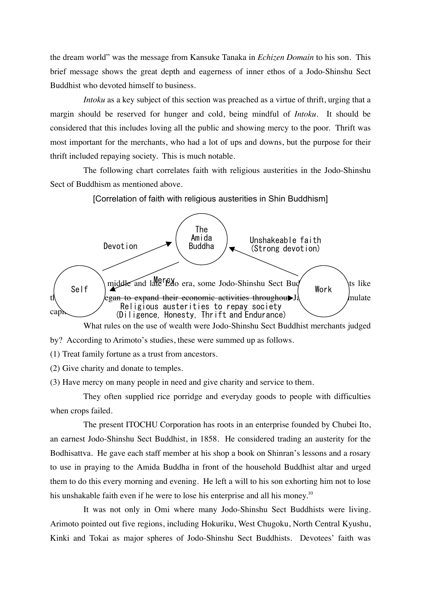the dream world" was the message from Kansuke Tanaka in *Echizen Domain* to his son. This brief message shows the great depth and eagerness of inner ethos of a Jodo-Shinshu Sect Buddhist who devoted himself to business.

*Intoku* as a key subject of this section was preached as a virtue of thrift, urging that a margin should be reserved for hunger and cold, being mindful of *Intoku*. It should be considered that this includes loving all the public and showing mercy to the poor. Thrift was most important for the merchants, who had a lot of ups and downs, but the purpose for their thrift included repaying society. This is much notable.

The following chart correlates faith with religious austerities in the Jodo-Shinshu Sect of Buddhism as mentioned above.

[Correlation of faith with religious austerities in Shin Buddhism]



What rules on the use of wealth were Jodo-Shinshu Sect Buddhist merchants judged

- by? According to Arimoto's studies, these were summed up as follows.
- (1) Treat family fortune as a trust from ancestors.
- (2) Give charity and donate to temples.
- (3) Have mercy on many people in need and give charity and service to them.

They often supplied rice porridge and everyday goods to people with difficulties when crops failed.

The present ITOCHU Corporation has roots in an enterprise founded by Chubei Ito, an earnest Jodo-Shinshu Sect Buddhist, in 1858. He considered trading an austerity for the Bodhisattva. He gave each staff member at his shop a book on Shinran's lessons and a rosary to use in praying to the Amida Buddha in front of the household Buddhist altar and urged them to do this every morning and evening. He left a will to his son exhorting him not to lose his unshakable faith even if he were to lose his enterprise and all his money.<sup>10</sup>

It was not only in Omi where many Jodo-Shinshu Sect Buddhists were living. Arimoto pointed out five regions, including Hokuriku, West Chugoku, North Central Kyushu, Kinki and Tokai as major spheres of Jodo-Shinshu Sect Buddhists. Devotees' faith was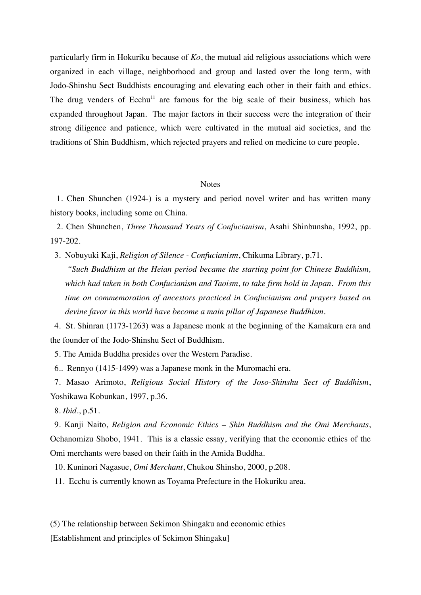particularly firm in Hokuriku because of *Ko*, the mutual aid religious associations which were organized in each village, neighborhood and group and lasted over the long term, with Jodo-Shinshu Sect Buddhists encouraging and elevating each other in their faith and ethics. The drug venders of Ecchu<sup>11</sup> are famous for the big scale of their business, which has expanded throughout Japan. The major factors in their success were the integration of their strong diligence and patience, which were cultivated in the mutual aid societies, and the traditions of Shin Buddhism, which rejected prayers and relied on medicine to cure people.

## **Notes**

 1. Chen Shunchen (1924-) is a mystery and period novel writer and has written many history books, including some on China.

 2. Chen Shunchen, *Three Thousand Years of Confucianism*, Asahi Shinbunsha, 1992, pp. 197-202.

3. Nobuyuki Kaji, *Religion of Silence - Confucianism*, Chikuma Library, p.71.

*"Such Buddhism at the Heian period became the starting point for Chinese Buddhism, which had taken in both Confucianism and Taoism, to take firm hold in Japan. From this time on commemoration of ancestors practiced in Confucianism and prayers based on devine favor in this world have become a main pillar of Japanese Buddhism.*

 4. St. Shinran (1173-1263) was a Japanese monk at the beginning of the Kamakura era and the founder of the Jodo-Shinshu Sect of Buddhism.

5. The Amida Buddha presides over the Western Paradise.

6.. Rennyo (1415-1499) was a Japanese monk in the Muromachi era.

 7. Masao Arimoto, *Religious Social History of the Joso-Shinshu Sect of Buddhism*, Yoshikawa Kobunkan, 1997, p.36.

8. *Ibid*., p.51.

 9. Kanji Naito, *Religion and Economic Ethics – Shin Buddhism and the Omi Merchants*, Ochanomizu Shobo, 1941. This is a classic essay, verifying that the economic ethics of the Omi merchants were based on their faith in the Amida Buddha.

10. Kuninori Nagasue, *Omi Merchant*, Chukou Shinsho, 2000, p.208.

11. Ecchu is currently known as Toyama Prefecture in the Hokuriku area.

(5) The relationship between Sekimon Shingaku and economic ethics

[Establishment and principles of Sekimon Shingaku]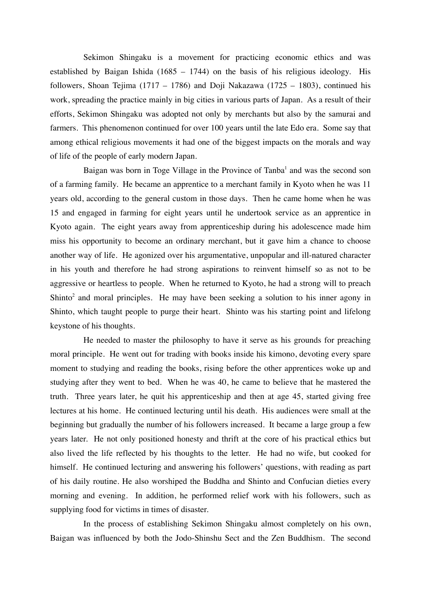Sekimon Shingaku is a movement for practicing economic ethics and was established by Baigan Ishida (1685 – 1744) on the basis of his religious ideology. His followers, Shoan Tejima (1717 – 1786) and Doji Nakazawa (1725 – 1803), continued his work, spreading the practice mainly in big cities in various parts of Japan. As a result of their efforts, Sekimon Shingaku was adopted not only by merchants but also by the samurai and farmers. This phenomenon continued for over 100 years until the late Edo era. Some say that among ethical religious movements it had one of the biggest impacts on the morals and way of life of the people of early modern Japan.

Baigan was born in Toge Village in the Province of Tanba<sup>1</sup> and was the second son of a farming family. He became an apprentice to a merchant family in Kyoto when he was 11 years old, according to the general custom in those days. Then he came home when he was 15 and engaged in farming for eight years until he undertook service as an apprentice in Kyoto again. The eight years away from apprenticeship during his adolescence made him miss his opportunity to become an ordinary merchant, but it gave him a chance to choose another way of life. He agonized over his argumentative, unpopular and ill-natured character in his youth and therefore he had strong aspirations to reinvent himself so as not to be aggressive or heartless to people. When he returned to Kyoto, he had a strong will to preach Shinto<sup>2</sup> and moral principles. He may have been seeking a solution to his inner agony in Shinto, which taught people to purge their heart. Shinto was his starting point and lifelong keystone of his thoughts.

He needed to master the philosophy to have it serve as his grounds for preaching moral principle. He went out for trading with books inside his kimono, devoting every spare moment to studying and reading the books, rising before the other apprentices woke up and studying after they went to bed. When he was 40, he came to believe that he mastered the truth. Three years later, he quit his apprenticeship and then at age 45, started giving free lectures at his home. He continued lecturing until his death. His audiences were small at the beginning but gradually the number of his followers increased. It became a large group a few years later. He not only positioned honesty and thrift at the core of his practical ethics but also lived the life reflected by his thoughts to the letter. He had no wife, but cooked for himself. He continued lecturing and answering his followers' questions, with reading as part of his daily routine. He also worshiped the Buddha and Shinto and Confucian dieties every morning and evening. In addition, he performed relief work with his followers, such as supplying food for victims in times of disaster.

In the process of establishing Sekimon Shingaku almost completely on his own, Baigan was influenced by both the Jodo-Shinshu Sect and the Zen Buddhism. The second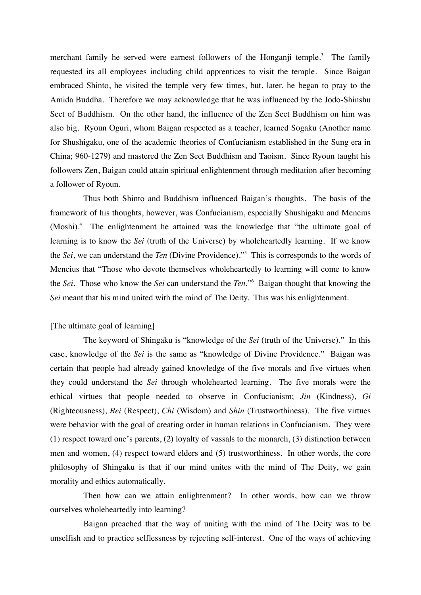merchant family he served were earnest followers of the Honganji temple.<sup>3</sup> The family requested its all employees including child apprentices to visit the temple. Since Baigan embraced Shinto, he visited the temple very few times, but, later, he began to pray to the Amida Buddha. Therefore we may acknowledge that he was influenced by the Jodo-Shinshu Sect of Buddhism. On the other hand, the influence of the Zen Sect Buddhism on him was also big. Ryoun Oguri, whom Baigan respected as a teacher, learned Sogaku (Another name for Shushigaku, one of the academic theories of Confucianism established in the Sung era in China; 960-1279) and mastered the Zen Sect Buddhism and Taoism. Since Ryoun taught his followers Zen, Baigan could attain spiritual enlightenment through meditation after becoming a follower of Ryoun.

Thus both Shinto and Buddhism influenced Baigan's thoughts. The basis of the framework of his thoughts, however, was Confucianism, especially Shushigaku and Mencius (Moshi).<sup>4</sup> The enlightenment he attained was the knowledge that "the ultimate goal of learning is to know the *Sei* (truth of the Universe) by wholeheartedly learning. If we know the *Sei*, we can understand the *Ten* (Divine Providence)."5 This is corresponds to the words of Mencius that "Those who devote themselves wholeheartedly to learning will come to know the *Sei*. Those who know the *Sei* can understand the *Ten*."6 Baigan thought that knowing the *Sei* meant that his mind united with the mind of The Deity. This was his enlightenment.

# [The ultimate goal of learning]

The keyword of Shingaku is "knowledge of the *Sei* (truth of the Universe)." In this case, knowledge of the *Sei* is the same as "knowledge of Divine Providence." Baigan was certain that people had already gained knowledge of the five morals and five virtues when they could understand the *Sei* through wholehearted learning. The five morals were the ethical virtues that people needed to observe in Confucianism; *Jin* (Kindness), *Gi* (Righteousness), *Rei* (Respect), *Chi* (Wisdom) and *Shin* (Trustworthiness). The five virtues were behavior with the goal of creating order in human relations in Confucianism. They were (1) respect toward one's parents, (2) loyalty of vassals to the monarch, (3) distinction between men and women, (4) respect toward elders and (5) trustworthiness. In other words, the core philosophy of Shingaku is that if our mind unites with the mind of The Deity, we gain morality and ethics automatically.

Then how can we attain enlightenment? In other words, how can we throw ourselves wholeheartedly into learning?

Baigan preached that the way of uniting with the mind of The Deity was to be unselfish and to practice selflessness by rejecting self-interest. One of the ways of achieving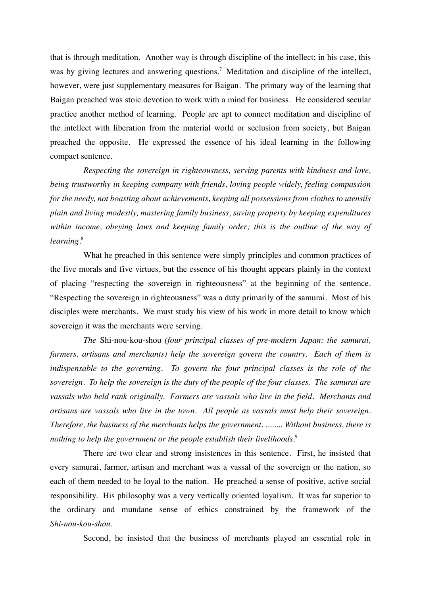that is through meditation. Another way is through discipline of the intellect; in his case, this was by giving lectures and answering questions.<sup>7</sup> Meditation and discipline of the intellect, however, were just supplementary measures for Baigan. The primary way of the learning that Baigan preached was stoic devotion to work with a mind for business. He considered secular practice another method of learning. People are apt to connect meditation and discipline of the intellect with liberation from the material world or seclusion from society, but Baigan preached the opposite. He expressed the essence of his ideal learning in the following compact sentence.

*Respecting the sovereign in righteousness, serving parents with kindness and love, being trustworthy in keeping company with friends, loving people widely, feeling compassion for the needy, not boasting about achievements, keeping all possessions from clothes to utensils plain and living modestly, mastering family business, saving property by keeping expenditures within income, obeying laws and keeping family order; this is the outline of the way of learning.*<sup>8</sup>

What he preached in this sentence were simply principles and common practices of the five morals and five virtues, but the essence of his thought appears plainly in the context of placing "respecting the sovereign in righteousness" at the beginning of the sentence. "Respecting the sovereign in righteousness" was a duty primarily of the samurai. Most of his disciples were merchants. We must study his view of his work in more detail to know which sovereign it was the merchants were serving.

*The* Shi-nou-kou-shou *(four principal classes of pre-modern Japan: the samurai, farmers, artisans and merchants) help the sovereign govern the country. Each of them is indispensable to the governing. To govern the four principal classes is the role of the sovereign. To help the sovereign is the duty of the people of the four classes. The samurai are vassals who held rank originally. Farmers are vassals who live in the field. Merchants and artisans are vassals who live in the town. All people as vassals must help their sovereign. Therefore, the business of the merchants helps the government. ........ Without business, there is nothing to help the government or the people establish their livelihoods.* 9

There are two clear and strong insistences in this sentence. First, he insisted that every samurai, farmer, artisan and merchant was a vassal of the sovereign or the nation, so each of them needed to be loyal to the nation. He preached a sense of positive, active social responsibility. His philosophy was a very vertically oriented loyalism. It was far superior to the ordinary and mundane sense of ethics constrained by the framework of the *Shi-nou-kou-shou*.

Second, he insisted that the business of merchants played an essential role in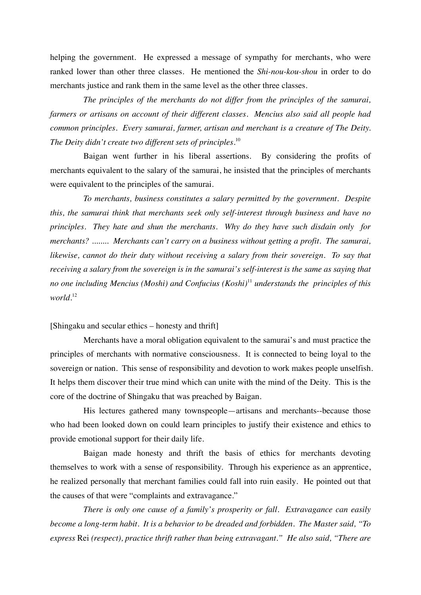helping the government. He expressed a message of sympathy for merchants, who were ranked lower than other three classes. He mentioned the *Shi-nou-kou-shou* in order to do merchants justice and rank them in the same level as the other three classes.

*The principles of the merchants do not differ from the principles of the samurai, farmers or artisans on account of their different classes. Mencius also said all people had common principles. Every samurai, farmer, artisan and merchant is a creature of The Deity. The Deity didn't create two different sets of principles.*<sup>10</sup>

Baigan went further in his liberal assertions. By considering the profits of merchants equivalent to the salary of the samurai, he insisted that the principles of merchants were equivalent to the principles of the samurai.

*To merchants, business constitutes a salary permitted by the government. Despite this, the samurai think that merchants seek only self-interest through business and have no principles. They hate and shun the merchants. Why do they have such disdain only for merchants? ........ Merchants can't carry on a business without getting a profit. The samurai, likewise, cannot do their duty without receiving a salary from their sovereign. To say that receiving a salary from the sovereign is in the samurai's self-interest is the same as saying that no one including Mencius (Moshi) and Confucius (Koshi)*<sup>11</sup> *understands the principles of this world.*<sup>12</sup>

## [Shingaku and secular ethics – honesty and thrift]

Merchants have a moral obligation equivalent to the samurai's and must practice the principles of merchants with normative consciousness. It is connected to being loyal to the sovereign or nation. This sense of responsibility and devotion to work makes people unselfish. It helps them discover their true mind which can unite with the mind of the Deity. This is the core of the doctrine of Shingaku that was preached by Baigan.

His lectures gathered many townspeople—artisans and merchants--because those who had been looked down on could learn principles to justify their existence and ethics to provide emotional support for their daily life.

Baigan made honesty and thrift the basis of ethics for merchants devoting themselves to work with a sense of responsibility. Through his experience as an apprentice, he realized personally that merchant families could fall into ruin easily. He pointed out that the causes of that were "complaints and extravagance."

*There is only one cause of a family's prosperity or fall. Extravagance can easily become a long-term habit. It is a behavior to be dreaded and forbidden. The Master said, "To express* Rei *(respect), practice thrift rather than being extravagant." He also said, "There are*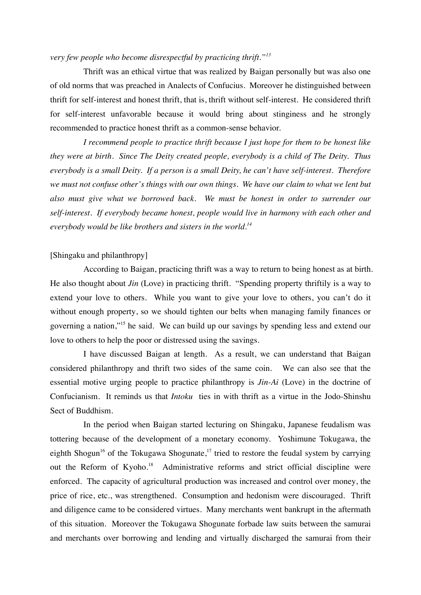## *very few people who become disrespectful by practicing thrift."<sup>13</sup>*

Thrift was an ethical virtue that was realized by Baigan personally but was also one of old norms that was preached in Analects of Confucius. Moreover he distinguished between thrift for self-interest and honest thrift, that is, thrift without self-interest. He considered thrift for self-interest unfavorable because it would bring about stinginess and he strongly recommended to practice honest thrift as a common-sense behavior.

*I recommend people to practice thrift because I just hope for them to be honest like they were at birth. Since The Deity created people, everybody is a child of The Deity. Thus everybody is a small Deity. If a person is a small Deity, he can't have self-interest. Therefore we must not confuse other's things with our own things. We have our claim to what we lent but also must give what we borrowed back. We must be honest in order to surrender our self-interest. If everybody became honest, people would live in harmony with each other and everybody would be like brothers and sisters in the world. 14*

#### [Shingaku and philanthropy]

According to Baigan, practicing thrift was a way to return to being honest as at birth. He also thought about *Jin* (Love) in practicing thrift. "Spending property thriftily is a way to extend your love to others. While you want to give your love to others, you can't do it without enough property, so we should tighten our belts when managing family finances or governing a nation,"15 he said. We can build up our savings by spending less and extend our love to others to help the poor or distressed using the savings.

I have discussed Baigan at length. As a result, we can understand that Baigan considered philanthropy and thrift two sides of the same coin. We can also see that the essential motive urging people to practice philanthropy is *Jin-Ai* (Love) in the doctrine of Confucianism. It reminds us that *Intoku* ties in with thrift as a virtue in the Jodo-Shinshu Sect of Buddhism.

In the period when Baigan started lecturing on Shingaku, Japanese feudalism was tottering because of the development of a monetary economy. Yoshimune Tokugawa, the eighth Shogun<sup>16</sup> of the Tokugawa Shogunate,<sup>17</sup> tried to restore the feudal system by carrying out the Reform of Kyoho.<sup>18</sup> Administrative reforms and strict official discipline were enforced. The capacity of agricultural production was increased and control over money, the price of rice, etc., was strengthened. Consumption and hedonism were discouraged. Thrift and diligence came to be considered virtues. Many merchants went bankrupt in the aftermath of this situation. Moreover the Tokugawa Shogunate forbade law suits between the samurai and merchants over borrowing and lending and virtually discharged the samurai from their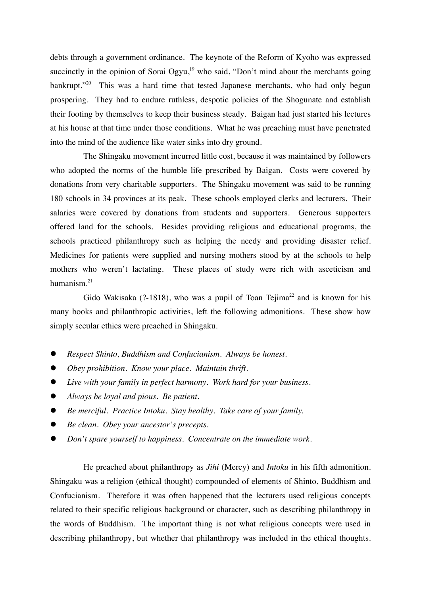debts through a government ordinance. The keynote of the Reform of Kyoho was expressed succinctly in the opinion of Sorai Ogyu,<sup>19</sup> who said, "Don't mind about the merchants going bankrupt."<sup>20</sup> This was a hard time that tested Japanese merchants, who had only begun prospering. They had to endure ruthless, despotic policies of the Shogunate and establish their footing by themselves to keep their business steady. Baigan had just started his lectures at his house at that time under those conditions. What he was preaching must have penetrated into the mind of the audience like water sinks into dry ground.

The Shingaku movement incurred little cost, because it was maintained by followers who adopted the norms of the humble life prescribed by Baigan. Costs were covered by donations from very charitable supporters. The Shingaku movement was said to be running 180 schools in 34 provinces at its peak. These schools employed clerks and lecturers. Their salaries were covered by donations from students and supporters. Generous supporters offered land for the schools. Besides providing religious and educational programs, the schools practiced philanthropy such as helping the needy and providing disaster relief. Medicines for patients were supplied and nursing mothers stood by at the schools to help mothers who weren't lactating. These places of study were rich with asceticism and humanism. 21

Gido Wakisaka (?-1818), who was a pupil of Toan Tejima<sup>22</sup> and is known for his many books and philanthropic activities, left the following admonitions. These show how simply secular ethics were preached in Shingaku.

- *Respect Shinto, Buddhism and Confucianism. Always be honest.*
- *Obey prohibition. Know your place. Maintain thrift.*
- *Live with your family in perfect harmony. Work hard for your business.*
- *Always be loyal and pious. Be patient.*
- *Be merciful. Practice Intoku. Stay healthy. Take care of your family.*
- *Be clean. Obey your ancestor's precepts.*
- *Don't spare yourself to happiness. Concentrate on the immediate work.*

He preached about philanthropy as *Jihi* (Mercy) and *Intoku* in his fifth admonition. Shingaku was a religion (ethical thought) compounded of elements of Shinto, Buddhism and Confucianism. Therefore it was often happened that the lecturers used religious concepts related to their specific religious background or character, such as describing philanthropy in the words of Buddhism. The important thing is not what religious concepts were used in describing philanthropy, but whether that philanthropy was included in the ethical thoughts.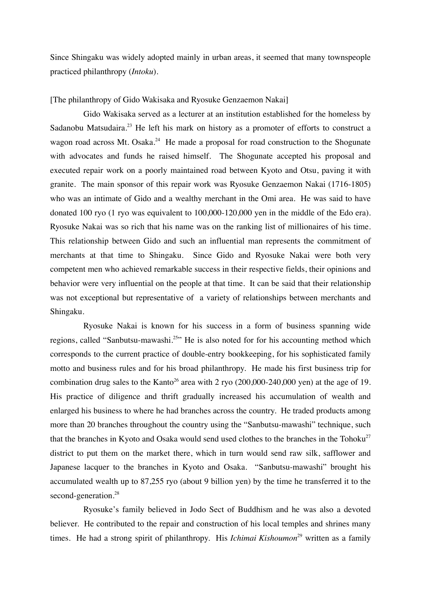Since Shingaku was widely adopted mainly in urban areas, it seemed that many townspeople practiced philanthropy (*Intoku*).

[The philanthropy of Gido Wakisaka and Ryosuke Genzaemon Nakai]

Gido Wakisaka served as a lecturer at an institution established for the homeless by Sadanobu Matsudaira.<sup>23</sup> He left his mark on history as a promoter of efforts to construct a wagon road across Mt. Osaka.<sup>24</sup> He made a proposal for road construction to the Shogunate with advocates and funds he raised himself. The Shogunate accepted his proposal and executed repair work on a poorly maintained road between Kyoto and Otsu, paving it with granite. The main sponsor of this repair work was Ryosuke Genzaemon Nakai (1716-1805) who was an intimate of Gido and a wealthy merchant in the Omi area. He was said to have donated 100 ryo (1 ryo was equivalent to 100,000-120,000 yen in the middle of the Edo era). Ryosuke Nakai was so rich that his name was on the ranking list of millionaires of his time. This relationship between Gido and such an influential man represents the commitment of merchants at that time to Shingaku. Since Gido and Ryosuke Nakai were both very competent men who achieved remarkable success in their respective fields, their opinions and behavior were very influential on the people at that time. It can be said that their relationship was not exceptional but representative of a variety of relationships between merchants and Shingaku.

Ryosuke Nakai is known for his success in a form of business spanning wide regions, called "Sanbutsu-mawashi.<sup>25</sup>" He is also noted for for his accounting method which corresponds to the current practice of double-entry bookkeeping, for his sophisticated family motto and business rules and for his broad philanthropy. He made his first business trip for combination drug sales to the Kanto<sup>26</sup> area with 2 ryo  $(200,000-240,000$  yen) at the age of 19. His practice of diligence and thrift gradually increased his accumulation of wealth and enlarged his business to where he had branches across the country. He traded products among more than 20 branches throughout the country using the "Sanbutsu-mawashi" technique, such that the branches in Kyoto and Osaka would send used clothes to the branches in the Tohoku<sup>27</sup> district to put them on the market there, which in turn would send raw silk, safflower and Japanese lacquer to the branches in Kyoto and Osaka. "Sanbutsu-mawashi" brought his accumulated wealth up to 87,255 ryo (about 9 billion yen) by the time he transferred it to the second-generation. 28

Ryosuke's family believed in Jodo Sect of Buddhism and he was also a devoted believer. He contributed to the repair and construction of his local temples and shrines many times. He had a strong spirit of philanthropy. His *Ichimai Kishoumon*<sup>29</sup> written as a family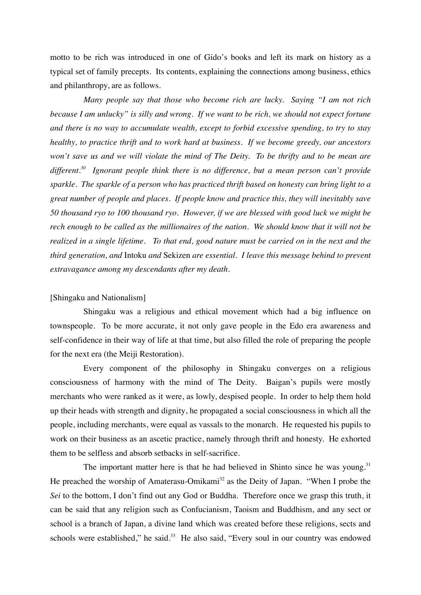motto to be rich was introduced in one of Gido's books and left its mark on history as a typical set of family precepts. Its contents, explaining the connections among business, ethics and philanthropy, are as follows.

*Many people say that those who become rich are lucky. Saying "I am not rich because I am unlucky" is silly and wrong. If we want to be rich, we should not expect fortune and there is no way to accumulate wealth, except to forbid excessive spending, to try to stay healthy, to practice thrift and to work hard at business. If we become greedy, our ancestors won't save us and we will violate the mind of The Deity. To be thrifty and to be mean are different. 30 Ignorant people think there is no difference, but a mean person can't provide sparkle. The sparkle of a person who has practiced thrift based on honesty can bring light to a great number of people and places. If people know and practice this, they will inevitably save 50 thousand ryo to 100 thousand ryo. However, if we are blessed with good luck we might be rech enough to be called as the millionaires of the nation. We should know that it will not be realized in a single lifetime. To that end, good nature must be carried on in the next and the third generation, and* Intoku *and* Sekizen *are essential. I leave this message behind to prevent extravagance among my descendants after my death.*

## [Shingaku and Nationalism]

Shingaku was a religious and ethical movement which had a big influence on townspeople. To be more accurate, it not only gave people in the Edo era awareness and self-confidence in their way of life at that time, but also filled the role of preparing the people for the next era (the Meiji Restoration).

Every component of the philosophy in Shingaku converges on a religious consciousness of harmony with the mind of The Deity. Baigan's pupils were mostly merchants who were ranked as it were, as lowly, despised people. In order to help them hold up their heads with strength and dignity, he propagated a social consciousness in which all the people, including merchants, were equal as vassals to the monarch. He requested his pupils to work on their business as an ascetic practice, namely through thrift and honesty. He exhorted them to be selfless and absorb setbacks in self-sacrifice.

The important matter here is that he had believed in Shinto since he was young. $31$ He preached the worship of Amaterasu-Omikami<sup>32</sup> as the Deity of Japan. "When I probe the *Sei* to the bottom, I don't find out any God or Buddha. Therefore once we grasp this truth, it can be said that any religion such as Confucianism, Taoism and Buddhism, and any sect or school is a branch of Japan, a divine land which was created before these religions, sects and schools were established," he said.<sup>33</sup> He also said, "Every soul in our country was endowed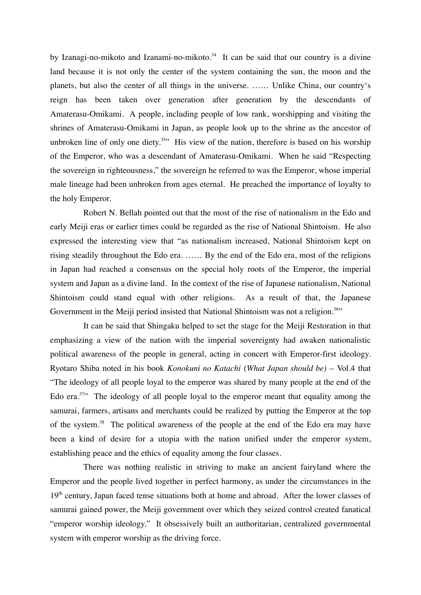by Izanagi-no-mikoto and Izanami-no-mikoto.<sup>34</sup> It can be said that our country is a divine land because it is not only the center of the system containing the sun, the moon and the planets, but also the center of all things in the universe. …… Unlike China, our country's reign has been taken over generation after generation by the descendants of Amaterasu-Omikami. A people, including people of low rank, worshipping and visiting the shrines of Amaterasu-Omikami in Japan, as people look up to the shrine as the ancestor of unbroken line of only one diety.<sup>35</sup> His view of the nation, therefore is based on his worship of the Emperor, who was a descendant of Amaterasu-Omikami. When he said "Respecting the sovereign in righteousness," the sovereign he referred to was the Emperor, whose imperial male lineage had been unbroken from ages eternal. He preached the importance of loyalty to the holy Emperor.

Robert N. Bellah pointed out that the most of the rise of nationalism in the Edo and early Meiji eras or earlier times could be regarded as the rise of National Shintoism. He also expressed the interesting view that "as nationalism increased, National Shintoism kept on rising steadily throughout the Edo era. …… By the end of the Edo era, most of the religions in Japan had reached a consensus on the special holy roots of the Emperor, the imperial system and Japan as a divine land. In the context of the rise of Japanese nationalism, National Shintoism could stand equal with other religions. As a result of that, the Japanese Government in the Meiji period insisted that National Shintoism was not a religion.<sup>36</sup>"

It can be said that Shingaku helped to set the stage for the Meiji Restoration in that emphasizing a view of the nation with the imperial sovereignty had awaken nationalistic political awareness of the people in general, acting in concert with Emperor-first ideology. Ryotaro Shiba noted in his book *Konokuni no Katachi* (*What Japan should be)* – Vol.4 that "The ideology of all people loyal to the emperor was shared by many people at the end of the Edo era.<sup>37</sup> The ideology of all people loyal to the emperor meant that equality among the samurai, farmers, artisans and merchants could be realized by putting the Emperor at the top of the system.38 The political awareness of the people at the end of the Edo era may have been a kind of desire for a utopia with the nation unified under the emperor system, establishing peace and the ethics of equality among the four classes.

There was nothing realistic in striving to make an ancient fairyland where the Emperor and the people lived together in perfect harmony, as under the circumstances in the  $19<sup>th</sup>$  century, Japan faced tense situations both at home and abroad. After the lower classes of samurai gained power, the Meiji government over which they seized control created fanatical "emperor worship ideology." It obsessively built an authoritarian, centralized governmental system with emperor worship as the driving force.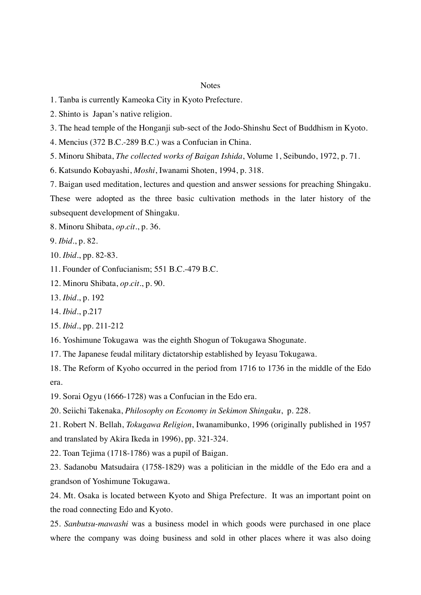#### **Notes**

- 1. Tanba is currently Kameoka City in Kyoto Prefecture.
- 2. Shinto is Japan's native religion.
- 3. The head temple of the Honganji sub-sect of the Jodo-Shinshu Sect of Buddhism in Kyoto.
- 4. Mencius (372 B.C.-289 B.C.) was a Confucian in China.
- 5. Minoru Shibata, *The collected works of Baigan Ishida*, Volume 1, Seibundo, 1972, p. 71.
- 6. Katsundo Kobayashi, *Moshi*, Iwanami Shoten, 1994, p. 318.

7. Baigan used meditation, lectures and question and answer sessions for preaching Shingaku. These were adopted as the three basic cultivation methods in the later history of the subsequent development of Shingaku.

- 8. Minoru Shibata, *op.cit*., p. 36.
- 9. *Ibid*., p. 82.
- 10. *Ibid*., pp. 82-83.
- 11. Founder of Confucianism; 551 B.C.-479 B.C.
- 12. Minoru Shibata, *op.cit*., p. 90.
- 13. *Ibid*., p. 192
- 14. *Ibid*., p.217
- 15. *Ibid*., pp. 211-212
- 16. Yoshimune Tokugawa was the eighth Shogun of Tokugawa Shogunate.
- 17. The Japanese feudal military dictatorship established by Ieyasu Tokugawa.

18. The Reform of Kyoho occurred in the period from 1716 to 1736 in the middle of the Edo era.

19. Sorai Ogyu (1666-1728) was a Confucian in the Edo era.

20. Seiichi Takenaka, *Philosophy on Economy in Sekimon Shingaku*, p. 228.

21. Robert N. Bellah, *Tokugawa Religion*, Iwanamibunko, 1996 (originally published in 1957 and translated by Akira Ikeda in 1996), pp. 321-324.

22. Toan Tejima (1718-1786) was a pupil of Baigan.

23. Sadanobu Matsudaira (1758-1829) was a politician in the middle of the Edo era and a grandson of Yoshimune Tokugawa.

24. Mt. Osaka is located between Kyoto and Shiga Prefecture. It was an important point on the road connecting Edo and Kyoto.

25. *Sanbutsu-mawashi* was a business model in which goods were purchased in one place where the company was doing business and sold in other places where it was also doing